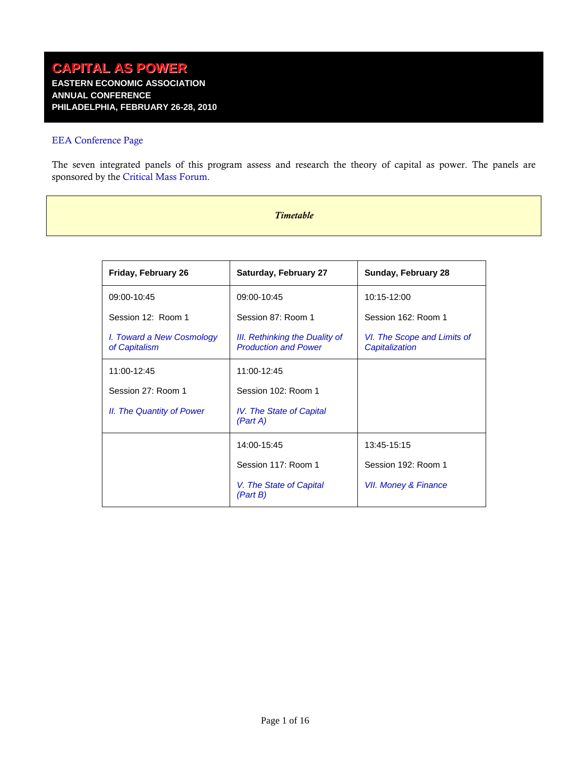## [EEA Conference Page](http://www.ramapo.edu/eea/2010/)

<span id="page-0-0"></span>The seven integrated panels of this program assess and research the theory of capital as power. The panels are sponsored by the [Critical Mass Forum.](http://www.yorku.ca/cmass/forum)

#### *Timetable*

| Friday, February 26                        | <b>Saturday, February 27</b>                                  | Sunday, February 28                           |
|--------------------------------------------|---------------------------------------------------------------|-----------------------------------------------|
| 09:00-10:45                                | 09:00-10:45                                                   | 10:15-12:00                                   |
| Session 12: Room 1                         | Session 87: Room 1                                            | Session 162: Room 1                           |
| I. Toward a New Cosmology<br>of Capitalism | III. Rethinking the Duality of<br><b>Production and Power</b> | VI. The Scope and Limits of<br>Capitalization |
| 11:00-12:45                                | 11:00-12:45                                                   |                                               |
| Session 27: Room 1                         | Session 102: Room 1                                           |                                               |
| II. The Quantity of Power                  | IV. The State of Capital<br>(Part A)                          |                                               |
|                                            | 14:00-15:45                                                   | 13:45-15:15                                   |
|                                            | Session 117: Room 1                                           | Session 192: Room 1                           |
|                                            | V. The State of Capital<br>(Part B)                           | VII. Money & Finance                          |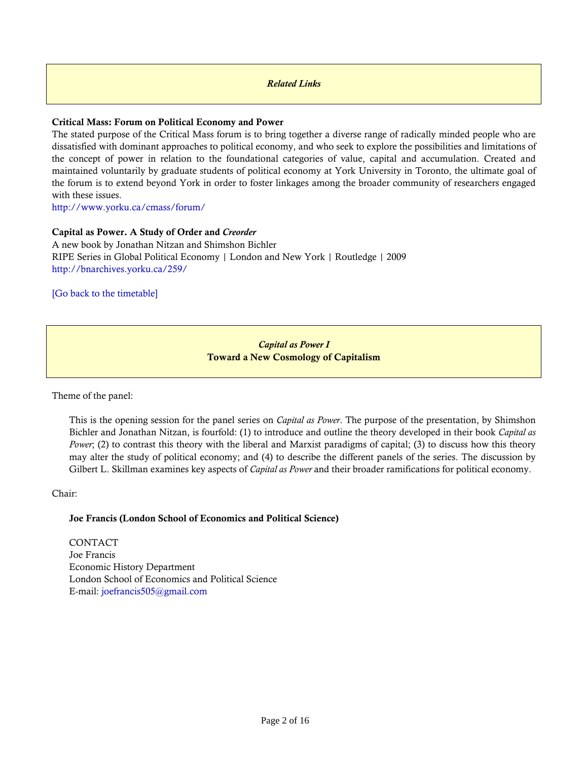#### *Related Links*

## **Critical Mass: Forum on Political Economy and Power**

The stated purpose of the Critical Mass forum is to bring together a diverse range of radically minded people who are dissatisfied with dominant approaches to political economy, and who seek to explore the possibilities and limitations of the concept of power in relation to the foundational categories of value, capital and accumulation. Created and maintained voluntarily by graduate students of political economy at York University in Toronto, the ultimate goal of the forum is to extend beyond York in order to foster linkages among the broader community of researchers engaged with these issues.

<http://www.yorku.ca/cmass/forum/>

### **Capital as Power. A Study of Order and** *Creorder*

A new book by Jonathan Nitzan and Shimshon Bichler RIPE Series in Global Political Economy | London and New York | Routledge | 2009 <http://bnarchives.yorku.ca/259/>

[\[Go back to the timetable\]](#page-0-0)

## *Capital as Power I*  **Toward a New Cosmology of Capitalism**

<span id="page-1-0"></span>Theme of the panel:

This is the opening session for the panel series on *Capital as Power*. The purpose of the presentation, by Shimshon Bichler and Jonathan Nitzan, is fourfold: (1) to introduce and outline the theory developed in their book *Capital as Power*; (2) to contrast this theory with the liberal and Marxist paradigms of capital; (3) to discuss how this theory may alter the study of political economy; and (4) to describe the different panels of the series. The discussion by Gilbert L. Skillman examines key aspects of *Capital as Power* and their broader ramifications for political economy.

#### Chair:

#### **Joe Francis (London School of Economics and Political Science)**

CONTACT Joe Francis Economic History Department London School of Economics and Political Science E-mail: [joefrancis505@gmail.com](mailto:joefrancis505@gmail.com)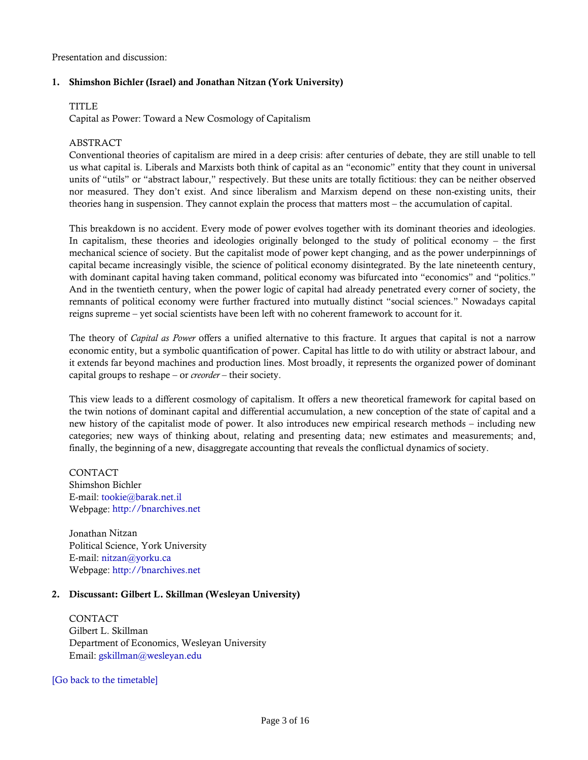Presentation and discussion:

## **1. Shimshon Bichler (Israel) and Jonathan Nitzan (York University)**

#### **TITLE**

Capital as Power: Toward a New Cosmology of Capitalism

### ABSTRACT

Conventional theories of capitalism are mired in a deep crisis: after centuries of debate, they are still unable to tell us what capital is. Liberals and Marxists both think of capital as an "economic" entity that they count in universal units of "utils" or "abstract labour," respectively. But these units are totally fictitious: they can be neither observed nor measured. They don't exist. And since liberalism and Marxism depend on these non-existing units, their theories hang in suspension. They cannot explain the process that matters most – the accumulation of capital.

This breakdown is no accident. Every mode of power evolves together with its dominant theories and ideologies. In capitalism, these theories and ideologies originally belonged to the study of political economy – the first mechanical science of society. But the capitalist mode of power kept changing, and as the power underpinnings of capital became increasingly visible, the science of political economy disintegrated. By the late nineteenth century, with dominant capital having taken command, political economy was bifurcated into "economics" and "politics." And in the twentieth century, when the power logic of capital had already penetrated every corner of society, the remnants of political economy were further fractured into mutually distinct "social sciences." Nowadays capital reigns supreme – yet social scientists have been left with no coherent framework to account for it.

The theory of *Capital as Power* offers a unified alternative to this fracture. It argues that capital is not a narrow economic entity, but a symbolic quantification of power. Capital has little to do with utility or abstract labour, and it extends far beyond machines and production lines. Most broadly, it represents the organized power of dominant capital groups to reshape – or *creorder* – their society.

This view leads to a different cosmology of capitalism. It offers a new theoretical framework for capital based on the twin notions of dominant capital and differential accumulation, a new conception of the state of capital and a new history of the capitalist mode of power. It also introduces new empirical research methods – including new categories; new ways of thinking about, relating and presenting data; new estimates and measurements; and, finally, the beginning of a new, disaggregate accounting that reveals the conflictual dynamics of society.

CONTACT Shimshon Bichler E-mail: [tookie@barak.net.il](mailto:tookie@barak.net.il) Webpage: [http://bnarchives.net](http://bnarchives.net/)

Jonathan Nitzan Political Science, York University E-mail: [nitzan@yorku.ca](mailto:nitzan@yorku.ca) Webpage: [http://bnarchives.net](http://bnarchives.net/)

#### **2. Discussant: Gilbert L. Skillman (Wesleyan University)**

CONTACT Gilbert L. Skillman Department of Economics, Wesleyan University Email: [gskillman@wesleyan.edu](mailto:gskillman@wesleyan.edu)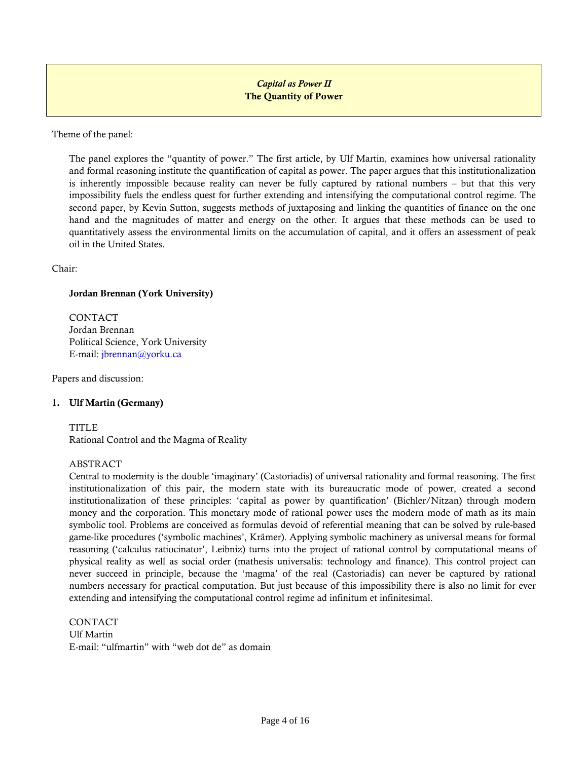## *Capital as Power II*  **The Quantity of Power**

<span id="page-3-0"></span>Theme of the panel:

The panel explores the "quantity of power." The first article, by Ulf Martin, examines how universal rationality and formal reasoning institute the quantification of capital as power. The paper argues that this institutionalization is inherently impossible because reality can never be fully captured by rational numbers – but that this very impossibility fuels the endless quest for further extending and intensifying the computational control regime. The second paper, by Kevin Sutton, suggests methods of juxtaposing and linking the quantities of finance on the one hand and the magnitudes of matter and energy on the other. It argues that these methods can be used to quantitatively assess the environmental limits on the accumulation of capital, and it offers an assessment of peak oil in the United States.

Chair:

### **Jordan Brennan (York University)**

CONTACT Jordan Brennan Political Science, York University E-mail: [jbrennan@yorku.ca](mailto:jbrennan@yorku.ca)

Papers and discussion:

## **1. Ulf Martin (Germany)**

TITLE

Rational Control and the Magma of Reality

#### ABSTRACT

Central to modernity is the double 'imaginary' (Castoriadis) of universal rationality and formal reasoning. The first institutionalization of this pair, the modern state with its bureaucratic mode of power, created a second institutionalization of these principles: 'capital as power by quantification' (Bichler/Nitzan) through modern money and the corporation. This monetary mode of rational power uses the modern mode of math as its main symbolic tool. Problems are conceived as formulas devoid of referential meaning that can be solved by rule-based game-like procedures ('symbolic machines', Krämer). Applying symbolic machinery as universal means for formal reasoning ('calculus ratiocinator', Leibniz) turns into the project of rational control by computational means of physical reality as well as social order (mathesis universalis: technology and finance). This control project can never succeed in principle, because the 'magma' of the real (Castoriadis) can never be captured by rational numbers necessary for practical computation. But just because of this impossibility there is also no limit for ever extending and intensifying the computational control regime ad infinitum et infinitesimal.

**CONTACT** Ulf Martin E-mail: "ulfmartin" with "web dot de" as domain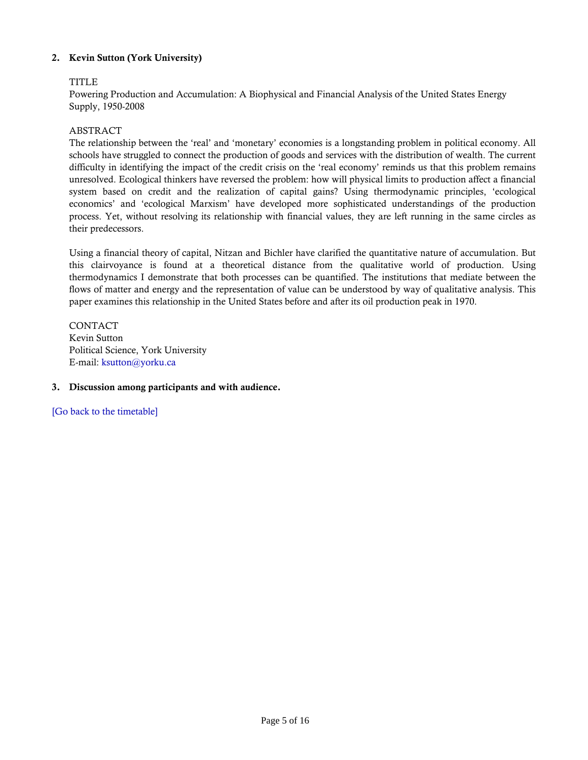## **2. Kevin Sutton (York University)**

## TITLE

Powering Production and Accumulation: A Biophysical and Financial Analysis of the United States Energy Supply, 1950-2008

#### ABSTRACT

The relationship between the 'real' and 'monetary' economies is a longstanding problem in political economy. All schools have struggled to connect the production of goods and services with the distribution of wealth. The current difficulty in identifying the impact of the credit crisis on the 'real economy' reminds us that this problem remains unresolved. Ecological thinkers have reversed the problem: how will physical limits to production affect a financial system based on credit and the realization of capital gains? Using thermodynamic principles, 'ecological economics' and 'ecological Marxism' have developed more sophisticated understandings of the production process. Yet, without resolving its relationship with financial values, they are left running in the same circles as their predecessors.

Using a financial theory of capital, Nitzan and Bichler have clarified the quantitative nature of accumulation. But this clairvoyance is found at a theoretical distance from the qualitative world of production. Using thermodynamics I demonstrate that both processes can be quantified. The institutions that mediate between the flows of matter and energy and the representation of value can be understood by way of qualitative analysis. This paper examines this relationship in the United States before and after its oil production peak in 1970.

CONTACT Kevin Sutton Political Science, York University E-mail: [ksutton@yorku.ca](mailto:ksutton@yorku.ca)

#### **3. Discussion among participants and with audience.**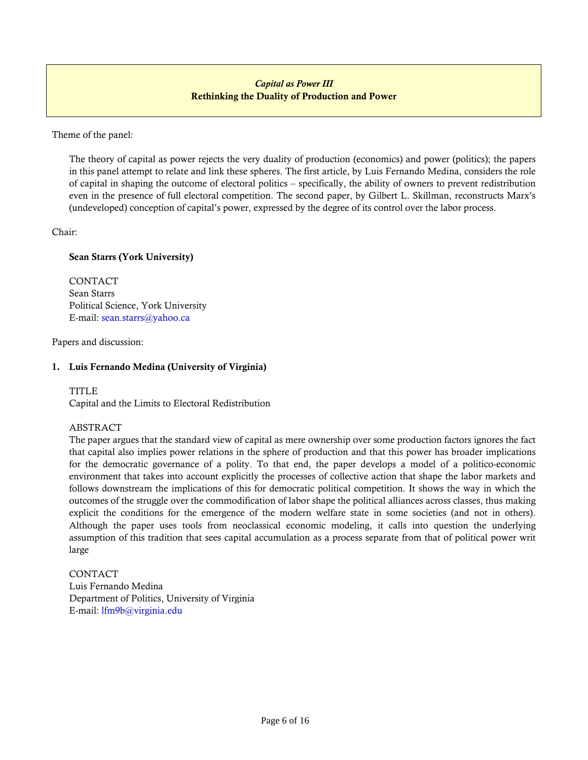# *Capital as Power III*  **Rethinking the Duality of Production and Power**

<span id="page-5-0"></span>Theme of the panel:

The theory of capital as power rejects the very duality of production (economics) and power (politics); the papers in this panel attempt to relate and link these spheres. The first article, by Luis Fernando Medina, considers the role of capital in shaping the outcome of electoral politics – specifically, the ability of owners to prevent redistribution even in the presence of full electoral competition. The second paper, by Gilbert L. Skillman, reconstructs Marx's (undeveloped) conception of capital's power, expressed by the degree of its control over the labor process.

Chair:

## **Sean Starrs (York University)**

CONTACT Sean Starrs Political Science, York University E-mail: [sean.starrs@yahoo.ca](mailto:sean.starrs@yahoo.ca) 

Papers and discussion:

## **1. Luis Fernando Medina (University of Virginia)**

TITLE<sub></sub>

Capital and the Limits to Electoral Redistribution

## ABSTRACT

The paper argues that the standard view of capital as mere ownership over some production factors ignores the fact that capital also implies power relations in the sphere of production and that this power has broader implications for the democratic governance of a polity. To that end, the paper develops a model of a politico-economic environment that takes into account explicitly the processes of collective action that shape the labor markets and follows downstream the implications of this for democratic political competition. It shows the way in which the outcomes of the struggle over the commodification of labor shape the political alliances across classes, thus making explicit the conditions for the emergence of the modern welfare state in some societies (and not in others). Although the paper uses tools from neoclassical economic modeling, it calls into question the underlying assumption of this tradition that sees capital accumulation as a process separate from that of political power writ large

CONTACT Luis Fernando Medina Department of Politics, University of Virginia E-mail: [lfm9b@virginia.edu](mailto:lfm9b@virginia.edu)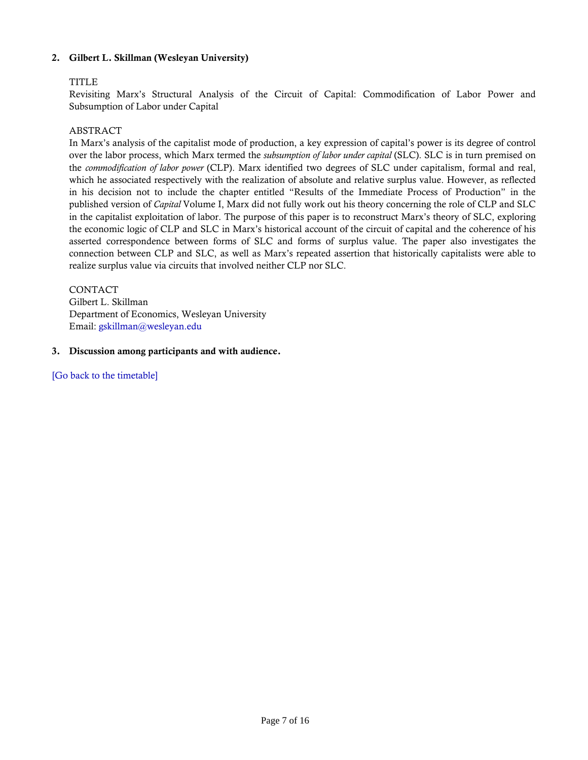## **2. Gilbert L. Skillman (Wesleyan University)**

## TITLE

Revisiting Marx's Structural Analysis of the Circuit of Capital: Commodification of Labor Power and Subsumption of Labor under Capital

## ABSTRACT

In Marx's analysis of the capitalist mode of production, a key expression of capital's power is its degree of control over the labor process, which Marx termed the *subsumption of labor under capital* (SLC). SLC is in turn premised on the *commodification of labor power* (CLP). Marx identified two degrees of SLC under capitalism, formal and real, which he associated respectively with the realization of absolute and relative surplus value. However, as reflected in his decision not to include the chapter entitled "Results of the Immediate Process of Production" in the published version of *Capital* Volume I, Marx did not fully work out his theory concerning the role of CLP and SLC in the capitalist exploitation of labor. The purpose of this paper is to reconstruct Marx's theory of SLC, exploring the economic logic of CLP and SLC in Marx's historical account of the circuit of capital and the coherence of his asserted correspondence between forms of SLC and forms of surplus value. The paper also investigates the connection between CLP and SLC, as well as Marx's repeated assertion that historically capitalists were able to realize surplus value via circuits that involved neither CLP nor SLC.

**CONTACT** Gilbert L. Skillman Department of Economics, Wesleyan University Email: [gskillman@wesleyan.edu](mailto:gskillman@wesleyan.edu)

### **3. Discussion among participants and with audience.**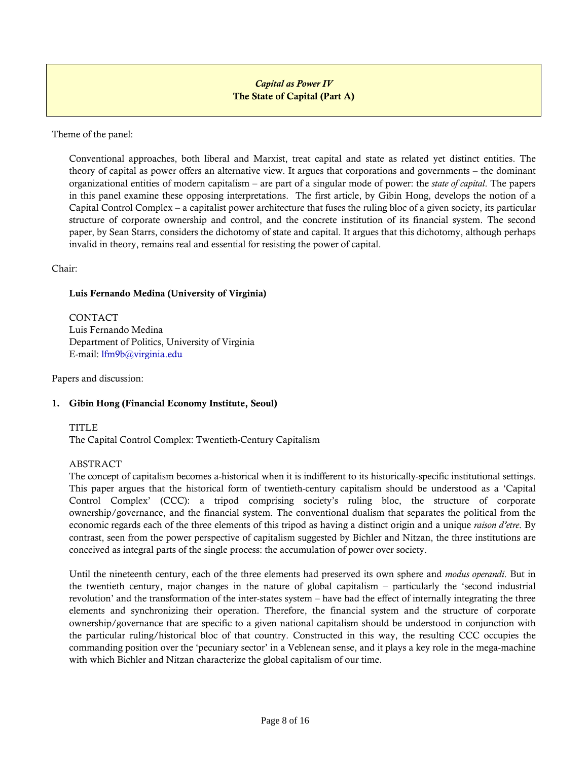# *Capital as Power IV*  **The State of Capital (Part A)**

<span id="page-7-0"></span>Theme of the panel:

Conventional approaches, both liberal and Marxist, treat capital and state as related yet distinct entities. The theory of capital as power offers an alternative view. It argues that corporations and governments – the dominant organizational entities of modern capitalism – are part of a singular mode of power: the *state of capital*. The papers in this panel examine these opposing interpretations. The first article, by Gibin Hong, develops the notion of a Capital Control Complex – a capitalist power architecture that fuses the ruling bloc of a given society, its particular structure of corporate ownership and control, and the concrete institution of its financial system. The second paper, by Sean Starrs, considers the dichotomy of state and capital. It argues that this dichotomy, although perhaps invalid in theory, remains real and essential for resisting the power of capital.

Chair:

### **Luis Fernando Medina (University of Virginia)**

**CONTACT** Luis Fernando Medina Department of Politics, University of Virginia E-mail: [lfm9b@virginia.edu](mailto:lfm9b@virginia.edu) 

Papers and discussion:

## **1. Gibin Hong (Financial Economy Institute, Seoul)**

#### TITLE

The Capital Control Complex: Twentieth-Century Capitalism

#### ABSTRACT

The concept of capitalism becomes a-historical when it is indifferent to its historically-specific institutional settings. This paper argues that the historical form of twentieth-century capitalism should be understood as a 'Capital Control Complex' (CCC): a tripod comprising society's ruling bloc, the structure of corporate ownership/governance, and the financial system. The conventional dualism that separates the political from the economic regards each of the three elements of this tripod as having a distinct origin and a unique *raison d'etre*. By contrast, seen from the power perspective of capitalism suggested by Bichler and Nitzan, the three institutions are conceived as integral parts of the single process: the accumulation of power over society.

Until the nineteenth century, each of the three elements had preserved its own sphere and *modus operandi*. But in the twentieth century, major changes in the nature of global capitalism – particularly the 'second industrial revolution' and the transformation of the inter-states system – have had the effect of internally integrating the three elements and synchronizing their operation. Therefore, the financial system and the structure of corporate ownership/governance that are specific to a given national capitalism should be understood in conjunction with the particular ruling/historical bloc of that country. Constructed in this way, the resulting CCC occupies the commanding position over the 'pecuniary sector' in a Veblenean sense, and it plays a key role in the mega-machine with which Bichler and Nitzan characterize the global capitalism of our time.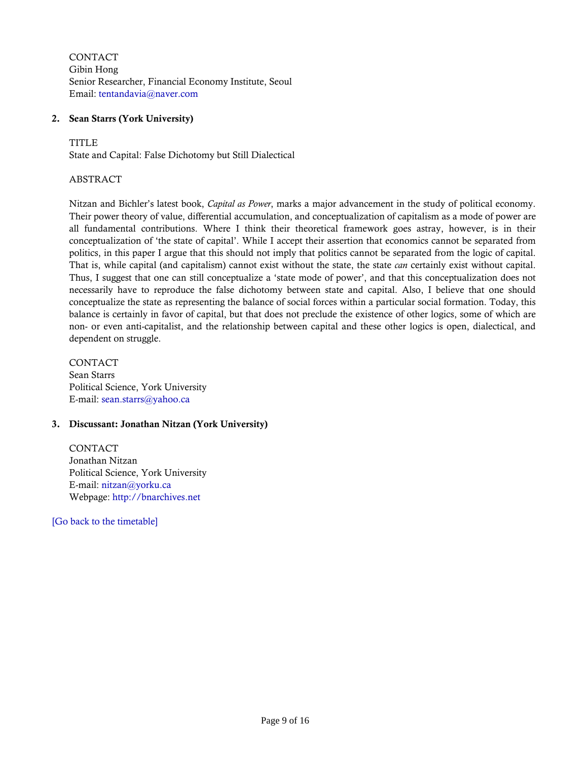CONTACT Gibin Hong Senior Researcher, Financial Economy Institute, Seoul Email: [tentandavia@naver.com](mailto:tentandavia@naver.com)

## **2. Sean Starrs (York University)**

TITLE

State and Capital: False Dichotomy but Still Dialectical

#### ABSTRACT

Nitzan and Bichler's latest book, *Capital as Power*, marks a major advancement in the study of political economy. Their power theory of value, differential accumulation, and conceptualization of capitalism as a mode of power are all fundamental contributions. Where I think their theoretical framework goes astray, however, is in their conceptualization of 'the state of capital'. While I accept their assertion that economics cannot be separated from politics, in this paper I argue that this should not imply that politics cannot be separated from the logic of capital. That is, while capital (and capitalism) cannot exist without the state, the state *can* certainly exist without capital. Thus, I suggest that one can still conceptualize a 'state mode of power', and that this conceptualization does not necessarily have to reproduce the false dichotomy between state and capital. Also, I believe that one should conceptualize the state as representing the balance of social forces within a particular social formation. Today, this balance is certainly in favor of capital, but that does not preclude the existence of other logics, some of which are non- or even anti-capitalist, and the relationship between capital and these other logics is open, dialectical, and dependent on struggle.

CONTACT Sean Starrs Political Science, York University E-mail: [sean.starrs@yahoo.ca](mailto:sean.starrs@yahoo.ca) 

#### **3. Discussant: Jonathan Nitzan (York University)**

CONTACT Jonathan Nitzan Political Science, York University E-mail: [nitzan@yorku.ca](mailto:nitzan@yorku.ca) Webpage: [http://bnarchives.net](http://bnarchives.net/)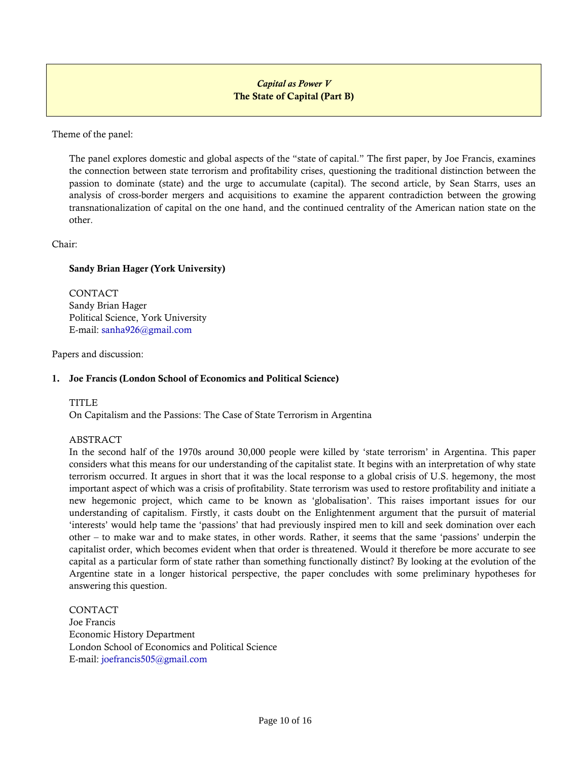# *Capital as Power V*  **The State of Capital (Part B)**

<span id="page-9-0"></span>Theme of the panel:

The panel explores domestic and global aspects of the "state of capital." The first paper, by Joe Francis, examines the connection between state terrorism and profitability crises, questioning the traditional distinction between the passion to dominate (state) and the urge to accumulate (capital). The second article, by Sean Starrs, uses an analysis of cross-border mergers and acquisitions to examine the apparent contradiction between the growing transnationalization of capital on the one hand, and the continued centrality of the American nation state on the other.

Chair:

## **Sandy Brian Hager (York University)**

CONTACT Sandy Brian Hager Political Science, York University E-mail: [sanha926@gmail.com](mailto:sanha926@gmail.com) 

Papers and discussion:

#### **1. Joe Francis (London School of Economics and Political Science)**

#### TITLE

On Capitalism and the Passions: The Case of State Terrorism in Argentina

#### ABSTRACT

In the second half of the 1970s around 30,000 people were killed by 'state terrorism' in Argentina. This paper considers what this means for our understanding of the capitalist state. It begins with an interpretation of why state terrorism occurred. It argues in short that it was the local response to a global crisis of U.S. hegemony, the most important aspect of which was a crisis of profitability. State terrorism was used to restore profitability and initiate a new hegemonic project, which came to be known as 'globalisation'. This raises important issues for our understanding of capitalism. Firstly, it casts doubt on the Enlightenment argument that the pursuit of material 'interests' would help tame the 'passions' that had previously inspired men to kill and seek domination over each other – to make war and to make states, in other words. Rather, it seems that the same 'passions' underpin the capitalist order, which becomes evident when that order is threatened. Would it therefore be more accurate to see capital as a particular form of state rather than something functionally distinct? By looking at the evolution of the Argentine state in a longer historical perspective, the paper concludes with some preliminary hypotheses for answering this question.

CONTACT Joe Francis Economic History Department London School of Economics and Political Science E-mail: [joefrancis505@gmail.com](mailto:joefrancis505@gmail.com)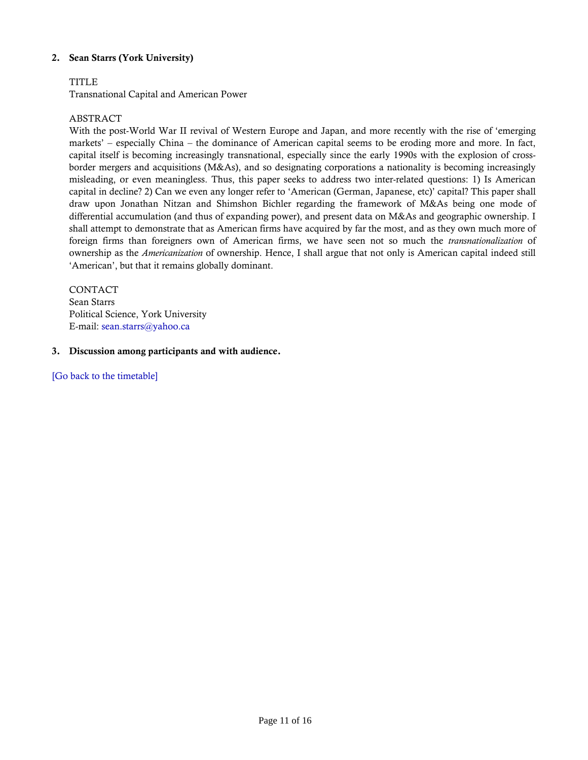## **2. Sean Starrs (York University)**

## TITLE

Transnational Capital and American Power

## ABSTRACT

With the post-World War II revival of Western Europe and Japan, and more recently with the rise of 'emerging markets' – especially China – the dominance of American capital seems to be eroding more and more. In fact, capital itself is becoming increasingly transnational, especially since the early 1990s with the explosion of crossborder mergers and acquisitions (M&As), and so designating corporations a nationality is becoming increasingly misleading, or even meaningless. Thus, this paper seeks to address two inter-related questions: 1) Is American capital in decline? 2) Can we even any longer refer to 'American (German, Japanese, etc)' capital? This paper shall draw upon Jonathan Nitzan and Shimshon Bichler regarding the framework of M&As being one mode of differential accumulation (and thus of expanding power), and present data on M&As and geographic ownership. I shall attempt to demonstrate that as American firms have acquired by far the most, and as they own much more of foreign firms than foreigners own of American firms, we have seen not so much the *transnationalization* of ownership as the *Americanization* of ownership. Hence, I shall argue that not only is American capital indeed still 'American', but that it remains globally dominant.

**CONTACT** Sean Starrs Political Science, York University E-mail: [sean.starrs@yahoo.ca](mailto:sean.starrs@yahoo.ca) 

#### **3. Discussion among participants and with audience.**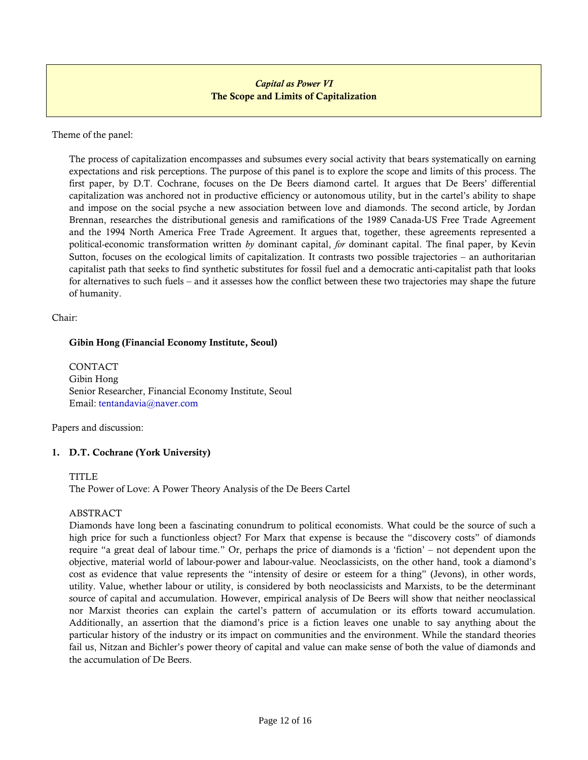## *Capital as Power VI*  **The Scope and Limits of Capitalization**

<span id="page-11-0"></span>Theme of the panel:

The process of capitalization encompasses and subsumes every social activity that bears systematically on earning expectations and risk perceptions. The purpose of this panel is to explore the scope and limits of this process. The first paper, by D.T. Cochrane, focuses on the De Beers diamond cartel. It argues that De Beers' differential capitalization was anchored not in productive efficiency or autonomous utility, but in the cartel's ability to shape and impose on the social psyche a new association between love and diamonds. The second article, by Jordan Brennan, researches the distributional genesis and ramifications of the 1989 Canada-US Free Trade Agreement and the 1994 North America Free Trade Agreement. It argues that, together, these agreements represented a political-economic transformation written *by* dominant capital, *for* dominant capital. The final paper, by Kevin Sutton, focuses on the ecological limits of capitalization. It contrasts two possible trajectories – an authoritarian capitalist path that seeks to find synthetic substitutes for fossil fuel and a democratic anti-capitalist path that looks for alternatives to such fuels – and it assesses how the conflict between these two trajectories may shape the future of humanity.

Chair:

### **Gibin Hong (Financial Economy Institute, Seoul)**

CONTACT Gibin Hong Senior Researcher, Financial Economy Institute, Seoul Email: [tentandavia@naver.com](mailto:tentandavia@naver.com)

Papers and discussion:

## **1. D.T. Cochrane (York University)**

#### TITLE

The Power of Love: A Power Theory Analysis of the De Beers Cartel

## ABSTRACT

Diamonds have long been a fascinating conundrum to political economists. What could be the source of such a high price for such a functionless object? For Marx that expense is because the "discovery costs" of diamonds require "a great deal of labour time." Or, perhaps the price of diamonds is a 'fiction' – not dependent upon the objective, material world of labour-power and labour-value. Neoclassicists, on the other hand, took a diamond's cost as evidence that value represents the "intensity of desire or esteem for a thing" (Jevons), in other words, utility. Value, whether labour or utility, is considered by both neoclassicists and Marxists, to be the determinant source of capital and accumulation. However, empirical analysis of De Beers will show that neither neoclassical nor Marxist theories can explain the cartel's pattern of accumulation or its efforts toward accumulation. Additionally, an assertion that the diamond's price is a fiction leaves one unable to say anything about the particular history of the industry or its impact on communities and the environment. While the standard theories fail us, Nitzan and Bichler's power theory of capital and value can make sense of both the value of diamonds and the accumulation of De Beers.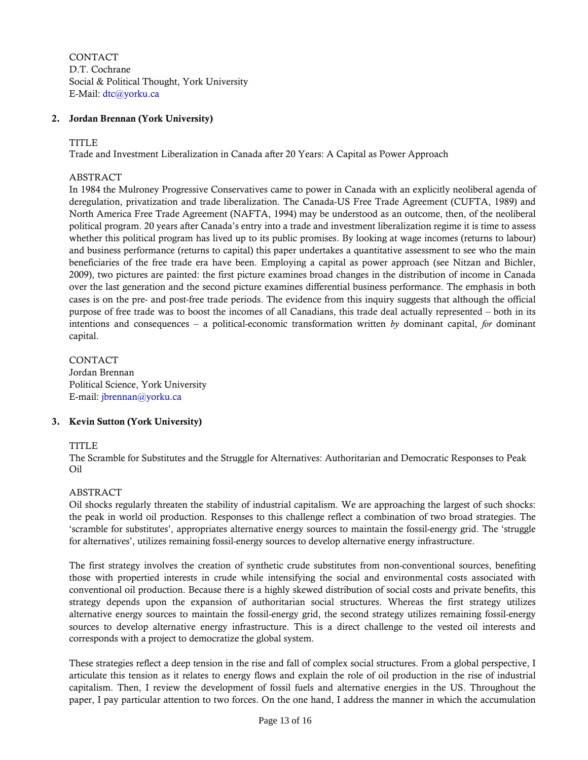**CONTACT** D.T. Cochrane Social & Political Thought, York University E-Mail: [dtc@yorku.ca](mailto:dtc@yorku.ca)

#### **2. Jordan Brennan (York University)**

#### TITLE

Trade and Investment Liberalization in Canada after 20 Years: A Capital as Power Approach

### ABSTRACT

In 1984 the Mulroney Progressive Conservatives came to power in Canada with an explicitly neoliberal agenda of deregulation, privatization and trade liberalization. The Canada-US Free Trade Agreement (CUFTA, 1989) and North America Free Trade Agreement (NAFTA, 1994) may be understood as an outcome, then, of the neoliberal political program. 20 years after Canada's entry into a trade and investment liberalization regime it is time to assess whether this political program has lived up to its public promises. By looking at wage incomes (returns to labour) and business performance (returns to capital) this paper undertakes a quantitative assessment to see who the main beneficiaries of the free trade era have been. Employing a capital as power approach (see Nitzan and Bichler, 2009), two pictures are painted: the first picture examines broad changes in the distribution of income in Canada over the last generation and the second picture examines differential business performance. The emphasis in both cases is on the pre- and post-free trade periods. The evidence from this inquiry suggests that although the official purpose of free trade was to boost the incomes of all Canadians, this trade deal actually represented – both in its intentions and consequences – a political-economic transformation written *by* dominant capital, *for* dominant capital.

CONTACT Jordan Brennan Political Science, York University E-mail: [jbrennan@yorku.ca](mailto:jbrennan@yorku.ca)

#### **3. Kevin Sutton (York University)**

#### TITLE

The Scramble for Substitutes and the Struggle for Alternatives: Authoritarian and Democratic Responses to Peak Oil

#### ABSTRACT

Oil shocks regularly threaten the stability of industrial capitalism. We are approaching the largest of such shocks: the peak in world oil production. Responses to this challenge reflect a combination of two broad strategies. The 'scramble for substitutes', appropriates alternative energy sources to maintain the fossil-energy grid. The 'struggle for alternatives', utilizes remaining fossil-energy sources to develop alternative energy infrastructure.

The first strategy involves the creation of synthetic crude substitutes from non-conventional sources, benefiting those with propertied interests in crude while intensifying the social and environmental costs associated with conventional oil production. Because there is a highly skewed distribution of social costs and private benefits, this strategy depends upon the expansion of authoritarian social structures. Whereas the first strategy utilizes alternative energy sources to maintain the fossil-energy grid, the second strategy utilizes remaining fossil-energy sources to develop alternative energy infrastructure. This is a direct challenge to the vested oil interests and corresponds with a project to democratize the global system.

These strategies reflect a deep tension in the rise and fall of complex social structures. From a global perspective, I articulate this tension as it relates to energy flows and explain the role of oil production in the rise of industrial capitalism. Then, I review the development of fossil fuels and alternative energies in the US. Throughout the paper, I pay particular attention to two forces. On the one hand, I address the manner in which the accumulation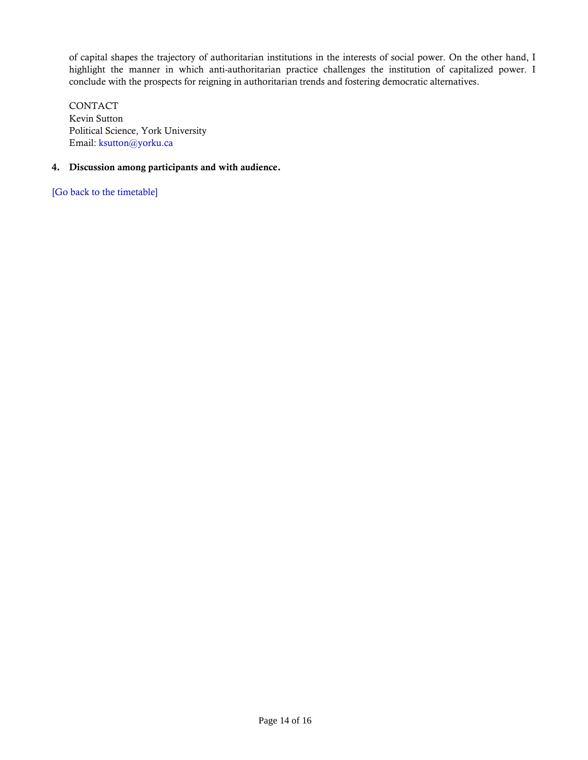of capital shapes the trajectory of authoritarian institutions in the interests of social power. On the other hand, I highlight the manner in which anti-authoritarian practice challenges the institution of capitalized power. I conclude with the prospects for reigning in authoritarian trends and fostering democratic alternatives.

CONTACT Kevin Sutton Political Science, York University Email: [ksutton@yorku.ca](mailto:ksutton@yorku.ca)

## **4. Discussion among participants and with audience.**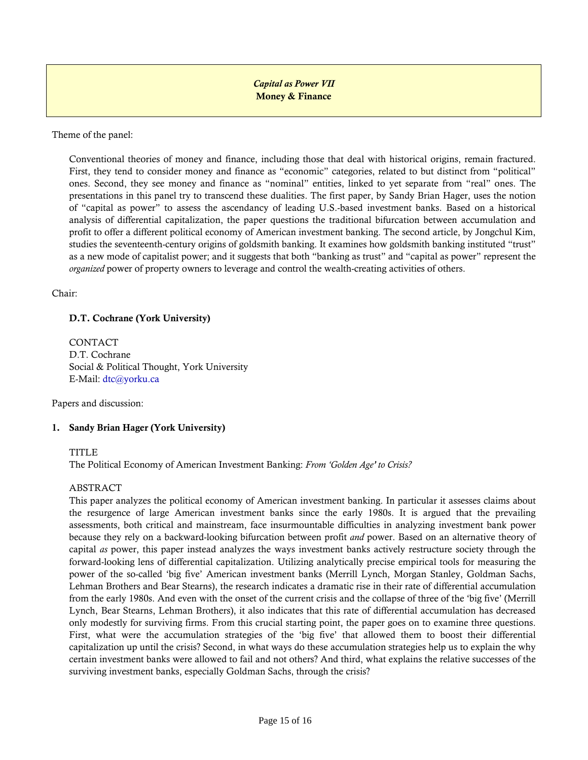*Capital as Power VII*  **Money & Finance** 

<span id="page-14-0"></span>Theme of the panel:

Conventional theories of money and finance, including those that deal with historical origins, remain fractured. First, they tend to consider money and finance as "economic" categories, related to but distinct from "political" ones. Second, they see money and finance as "nominal" entities, linked to yet separate from "real" ones. The presentations in this panel try to transcend these dualities. The first paper, by Sandy Brian Hager, uses the notion of "capital as power" to assess the ascendancy of leading U.S.-based investment banks. Based on a historical analysis of differential capitalization, the paper questions the traditional bifurcation between accumulation and profit to offer a different political economy of American investment banking. The second article, by Jongchul Kim, studies the seventeenth-century origins of goldsmith banking. It examines how goldsmith banking instituted "trust" as a new mode of capitalist power; and it suggests that both "banking as trust" and "capital as power" represent the *organized* power of property owners to leverage and control the wealth-creating activities of others.

Chair:

## **D.T. Cochrane (York University)**

CONTACT D.T. Cochrane Social & Political Thought, York University E-Mail: [dtc@yorku.ca](mailto:dtc@yorku.ca)

Papers and discussion:

## **1. Sandy Brian Hager (York University)**

TITLE<sub></sub>

The Political Economy of American Investment Banking: *From 'Golden Age' to Crisis?* 

#### ABSTRACT

This paper analyzes the political economy of American investment banking. In particular it assesses claims about the resurgence of large American investment banks since the early 1980s. It is argued that the prevailing assessments, both critical and mainstream, face insurmountable difficulties in analyzing investment bank power because they rely on a backward-looking bifurcation between profit *and* power. Based on an alternative theory of capital *as* power, this paper instead analyzes the ways investment banks actively restructure society through the forward-looking lens of differential capitalization. Utilizing analytically precise empirical tools for measuring the power of the so-called 'big five' American investment banks (Merrill Lynch, Morgan Stanley, Goldman Sachs, Lehman Brothers and Bear Stearns), the research indicates a dramatic rise in their rate of differential accumulation from the early 1980s. And even with the onset of the current crisis and the collapse of three of the 'big five' (Merrill Lynch, Bear Stearns, Lehman Brothers), it also indicates that this rate of differential accumulation has decreased only modestly for surviving firms. From this crucial starting point, the paper goes on to examine three questions. First, what were the accumulation strategies of the 'big five' that allowed them to boost their differential capitalization up until the crisis? Second, in what ways do these accumulation strategies help us to explain the why certain investment banks were allowed to fail and not others? And third, what explains the relative successes of the surviving investment banks, especially Goldman Sachs, through the crisis?